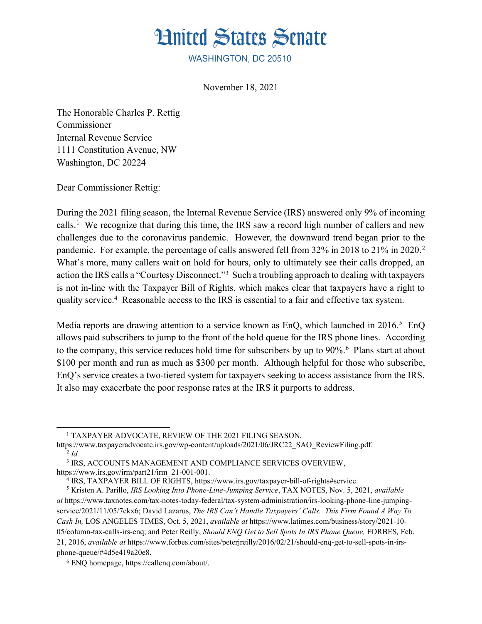

WASHINGTON, DC 20510

November 18, 2021

The Honorable Charles P. Rettig Commissioner Internal Revenue Service 1111 Constitution Avenue, NW Washington, DC 20224

Dear Commissioner Rettig:

During the 2021 filing season, the Internal Revenue Service (IRS) answered only 9% of incoming calls. 1 We recognize that during this time, the IRS saw a record high number of callers and new challenges due to the coronavirus pandemic. However, the downward trend began prior to the pandemic. For example, the percentage of calls answered fell from 32% in 2018 to 21% in 2020.<sup>2</sup> What's more, many callers wait on hold for hours, only to ultimately see their calls dropped, an action the IRS calls a "Courtesy Disconnect."<sup>3</sup> Such a troubling approach to dealing with taxpayers is not in-line with the Taxpayer Bill of Rights, which makes clear that taxpayers have a right to quality service.4 Reasonable access to the IRS is essential to a fair and effective tax system.

Media reports are drawing attention to a service known as EnQ, which launched in  $2016$ <sup>5</sup> EnQ allows paid subscribers to jump to the front of the hold queue for the IRS phone lines. According to the company, this service reduces hold time for subscribers by up to 90%.<sup>6</sup> Plans start at about \$100 per month and run as much as \$300 per month. Although helpful for those who subscribe, EnQ's service creates a two-tiered system for taxpayers seeking to access assistance from the IRS. It also may exacerbate the poor response rates at the IRS it purports to address.

<sup>&</sup>lt;sup>1</sup> TAXPAYER ADVOCATE, REVIEW OF THE 2021 FILING SEASON,

https://www.taxpayeradvocate.irs.gov/wp-content/uploads/2021/06/JRC22\_SAO\_ReviewFiling.pdf. 2 *Id.*

 <sup>3</sup> IRS, ACCOUNTS MANAGEMENT AND COMPLIANCE SERVICES OVERVIEW, https://www.irs.gov/irm/part21/irm\_21-001-001.

 <sup>4</sup> IRS, TAXPAYER BILL OF RIGHTS, https://www.irs.gov/taxpayer-bill-of-rights#service.

 <sup>5</sup> Kristen A. Parillo, *IRS Looking Into Phone-Line-Jumping Service*, TAX NOTES, Nov. 5, 2021, *available at* https://www.taxnotes.com/tax-notes-today-federal/tax-system-administration/irs-looking-phone-line-jumpingservice/2021/11/05/7ckx6; David Lazarus, *The IRS Can't Handle Taxpayers' Calls. This Firm Found A Way To Cash In,* LOS ANGELES TIMES, Oct. 5, 2021, *available at* https://www.latimes.com/business/story/2021-10- 05/column-tax-calls-irs-enq; and Peter Reilly, *Should ENQ Get to Sell Spots In IRS Phone Queue,* FORBES, Feb. 21, 2016, *available at* https://www.forbes.com/sites/peterjreilly/2016/02/21/should-enq-get-to-sell-spots-in-irsphone-queue/#4d5e419a20e8.

 <sup>6</sup> ENQ homepage, https://callenq.com/about/.